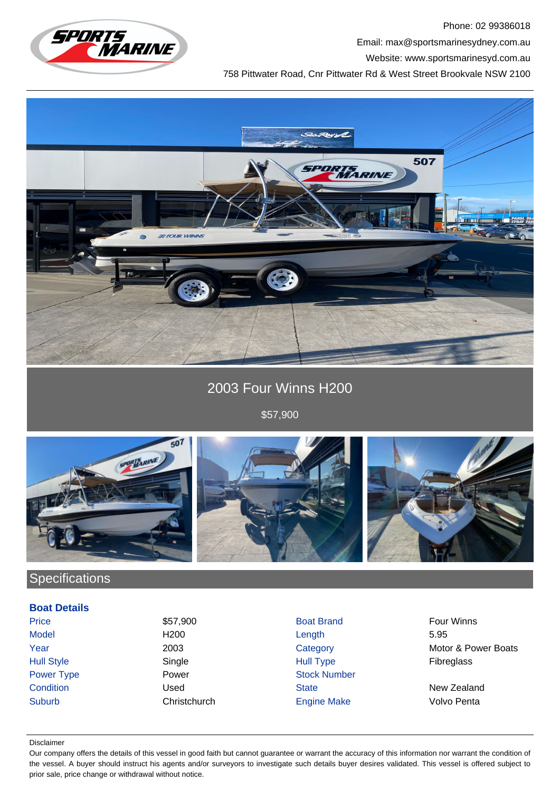

Phone: 02 99386018 Email: max@sportsmarinesydney.com.au

Website: www.sportsmarinesyd.com.au

758 Pittwater Road, Cnr Pittwater Rd & West Street Brookvale NSW 2100



2003 Four Winns H200

\$57,900



# **Specifications**

### **Boat Details**

Price 67,900 **\$57,900** Boat Brand Four Winns

Model H200 Length 5.95 Hull Style Single Hull Type Fibreglass Power Type **Power Power Stock Number Condition** Condition **Condition** Used State State New Zealand Suburb Christchurch Engine Make Volvo Penta

Year 2003 2003 Category Category Motor & Power Boats

#### Disclaimer

Our company offers the details of this vessel in good faith but cannot guarantee or warrant the accuracy of this information nor warrant the condition of the vessel. A buyer should instruct his agents and/or surveyors to investigate such details buyer desires validated. This vessel is offered subject to prior sale, price change or withdrawal without notice.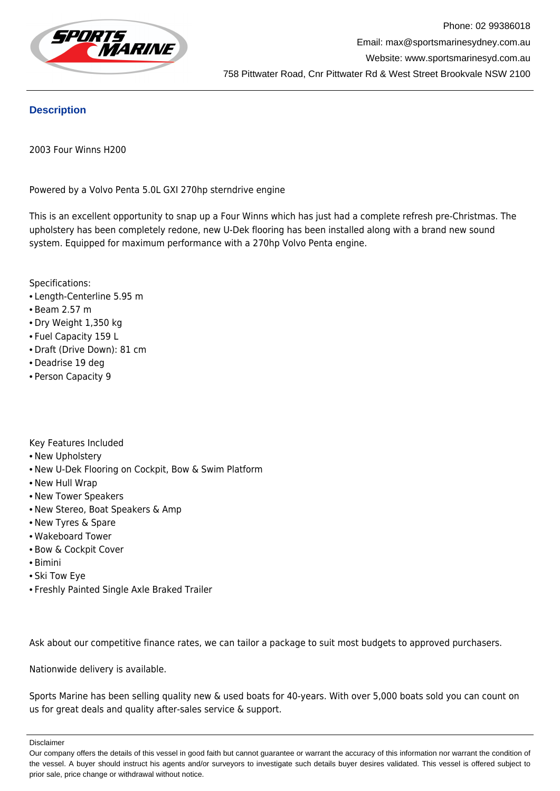

### **Description**

2003 Four Winns H200

Powered by a Volvo Penta 5.0L GXI 270hp sterndrive engine

This is an excellent opportunity to snap up a Four Winns which has just had a complete refresh pre-Christmas. The upholstery has been completely redone, new U-Dek flooring has been installed along with a brand new sound system. Equipped for maximum performance with a 270hp Volvo Penta engine.

Specifications:

- Length-Centerline 5.95 m
- Beam 2.57 m
- Dry Weight 1,350 kg
- Fuel Capacity 159 L
- Draft (Drive Down): 81 cm
- Deadrise 19 deg
- Person Capacity 9

Key Features Included

- New Upholstery
- New U-Dek Flooring on Cockpit, Bow & Swim Platform
- New Hull Wrap
- New Tower Speakers
- New Stereo, Boat Speakers & Amp
- New Tyres & Spare
- Wakeboard Tower
- Bow & Cockpit Cover
- Bimini
- Ski Tow Eye
- Freshly Painted Single Axle Braked Trailer

Ask about our competitive finance rates, we can tailor a package to suit most budgets to approved purchasers.

Nationwide delivery is available.

Sports Marine has been selling quality new & used boats for 40-years. With over 5,000 boats sold you can count on us for great deals and quality after-sales service & support.

Disclaimer

Our company offers the details of this vessel in good faith but cannot guarantee or warrant the accuracy of this information nor warrant the condition of the vessel. A buyer should instruct his agents and/or surveyors to investigate such details buyer desires validated. This vessel is offered subject to prior sale, price change or withdrawal without notice.